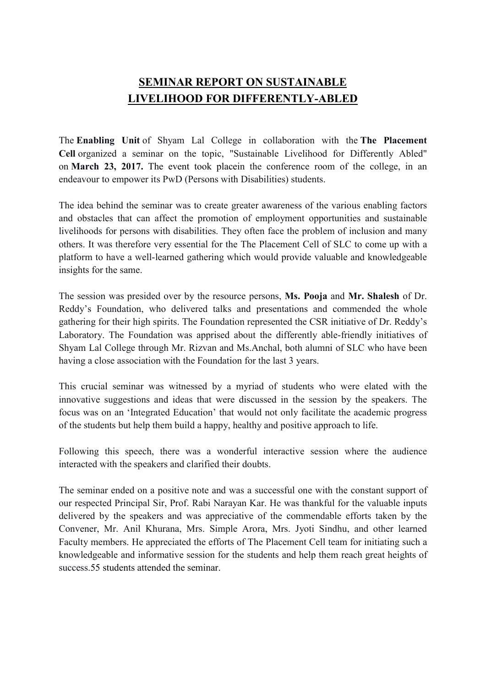## SEMINAR REPORT ON SUSTAINABLE LIVELIHOOD FOR DIFFERENTLY-ABLED

The Enabling Unit of Shyam Lal College in collaboration with the The Placement Cell organized a seminar on the topic, "Sustainable Livelihood for Differently Abled" on March 23, 2017. The event took placein the conference room of the college, in an endeavour to empower its PwD (Persons with Disabilities) students.

The idea behind the seminar was to create greater awareness of the various enabling factors and obstacles that can affect the promotion of employment opportunities and sustainable livelihoods for persons with disabilities. They often face the problem of inclusion and many others. It was therefore very essential for the The Placement Cell of SLC to come up with a platform to have a well-learned gathering which would provide valuable and knowledgeable insights for the same.

The session was presided over by the resource persons, Ms. Pooja and Mr. Shalesh of Dr. Reddy's Foundation, who delivered talks and presentations and commended the whole gathering for their high spirits. The Foundation represented the CSR initiative of Dr. Reddy's Laboratory. The Foundation was apprised about the differently able-friendly initiatives of Shyam Lal College through Mr. Rizvan and Ms.Anchal, both alumni of SLC who have been having a close association with the Foundation for the last 3 years.

This crucial seminar was witnessed by a myriad of students who were elated with the innovative suggestions and ideas that were discussed in the session by the speakers. The focus was on an 'Integrated Education' that would not only facilitate the academic progress of the students but help them build a happy, healthy and positive approach to life.

Following this speech, there was a wonderful interactive session where the audience interacted with the speakers and clarified their doubts.

The seminar ended on a positive note and was a successful one with the constant support of our respected Principal Sir, Prof. Rabi Narayan Kar. He was thankful for the valuable inputs delivered by the speakers and was appreciative of the commendable efforts taken by the Convener, Mr. Anil Khurana, Mrs. Simple Arora, Mrs. Jyoti Sindhu, and other learned Faculty members. He appreciated the efforts of The Placement Cell team for initiating such a knowledgeable and informative session for the students and help them reach great heights of success.55 students attended the seminar.